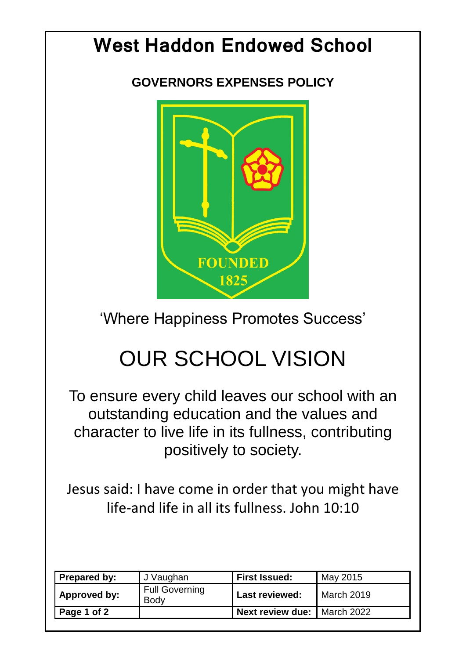## **West Haddon Endowed School**

**GOVERNORS EXPENSES POLICY**



'Where Happiness Promotes Success'

## OUR SCHOOL VISION

To ensure every child leaves our school with an outstanding education and the values and character to live life in its fullness, contributing positively to society.

Jesus said: I have come in order that you might have life-and life in all its fullness. John 10:10

| Prepared by:        | J Vaughan                     | <b>First Issued:</b>                 | May 2015   |
|---------------------|-------------------------------|--------------------------------------|------------|
| Approved by:        | <b>Full Governing</b><br>Body | <b>Last reviewed:</b>                | March 2019 |
| $\vert$ Page 1 of 2 |                               | <b>Next review due:   March 2022</b> |            |